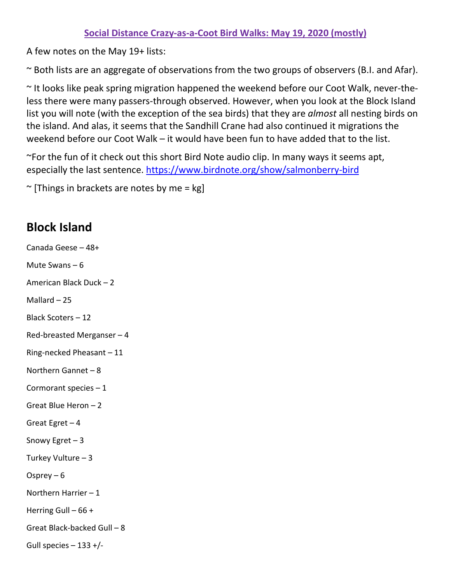## **Social Distance Crazy-as-a-Coot Bird Walks: May 19, 2020 (mostly)**

A few notes on the May 19+ lists:

~ Both lists are an aggregate of observations from the two groups of observers (B.I. and Afar).

~ It looks like peak spring migration happened the weekend before our Coot Walk, never-theless there were many passers-through observed. However, when you look at the Block Island list you will note (with the exception of the sea birds) that they are *almost* all nesting birds on the island. And alas, it seems that the Sandhill Crane had also continued it migrations the weekend before our Coot Walk – it would have been fun to have added that to the list.

~For the fun of it check out this short Bird Note audio clip. In many ways it seems apt, especially the last sentence.<https://www.birdnote.org/show/salmonberry-bird>

 $\sim$  [Things in brackets are notes by me = kg]

## **Block Island**

Canada Geese – 48+ Mute Swans – 6 American Black Duck – 2 Mallard – 25 Black Scoters – 12 Red-breasted Merganser – 4 Ring-necked Pheasant – 11 Northern Gannet – 8 Cormorant species – 1 Great Blue Heron – 2 Great Egret  $-4$ Snowy Egret – 3 Turkey Vulture – 3 Osprey – 6 Northern Harrier – 1 Herring Gull – 66 + Great Black-backed Gull – 8 Gull species – 133 +/-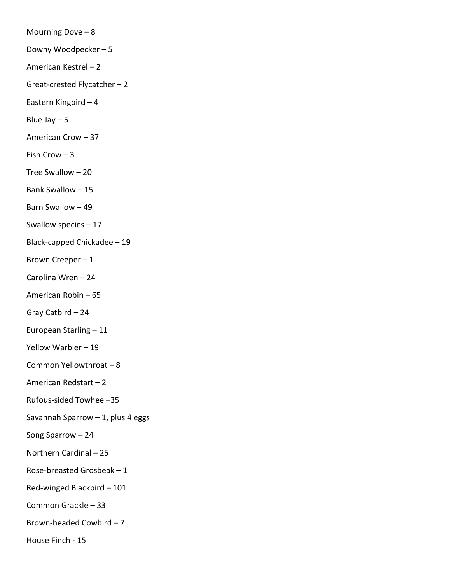Mourning Dove  $-8$ Downy Woodpecker – 5 American Kestrel – 2 Great-crested Flycatcher – 2 Eastern Kingbird – 4 Blue Jay  $-5$ American Crow – 37 Fish Crow – 3 Tree Swallow – 20 Bank Swallow – 15 Barn Swallow – 49 Swallow species – 17 Black-capped Chickadee – 19 Brown Creeper – 1 Carolina Wren – 24 American Robin – 65 Gray Catbird – 24 European Starling – 11 Yellow Warbler – 19 Common Yellowthroat – 8 American Redstart – 2 Rufous-sided Towhee –35 Savannah Sparrow  $-1$ , plus 4 eggs Song Sparrow – 24 Northern Cardinal – 25 Rose-breasted Grosbeak – 1 Red-winged Blackbird – 101 Common Grackle – 33 Brown-headed Cowbird – 7 House Finch - 15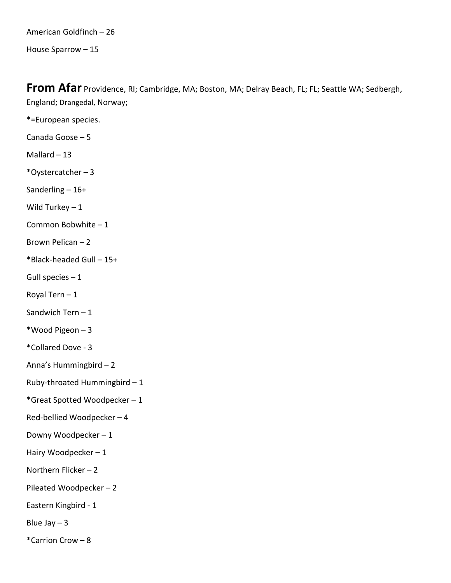American Goldfinch – 26 House Sparrow – 15

**From Afar** Providence, RI; Cambridge, MA; Boston, MA; Delray Beach, FL; FL; Seattle WA; Sedbergh, England; Drangedal, Norway;

- \*=European species.
- Canada Goose 5
- Mallard  $-13$
- \*Oystercatcher 3
- Sanderling 16+
- Wild Turkey  $-1$
- Common Bobwhite 1
- Brown Pelican 2
- \*Black-headed Gull 15+
- Gull species  $-1$
- Royal Tern  $-1$
- Sandwich Tern 1
- \*Wood Pigeon 3
- \*Collared Dove 3
- Anna's Hummingbird 2
- Ruby-throated Hummingbird 1
- \*Great Spotted Woodpecker 1
- Red-bellied Woodpecker 4
- Downy Woodpecker 1
- Hairy Woodpecker 1
- Northern Flicker 2
- Pileated Woodpecker 2
- Eastern Kingbird 1
- Blue Jay  $-3$
- \*Carrion Crow 8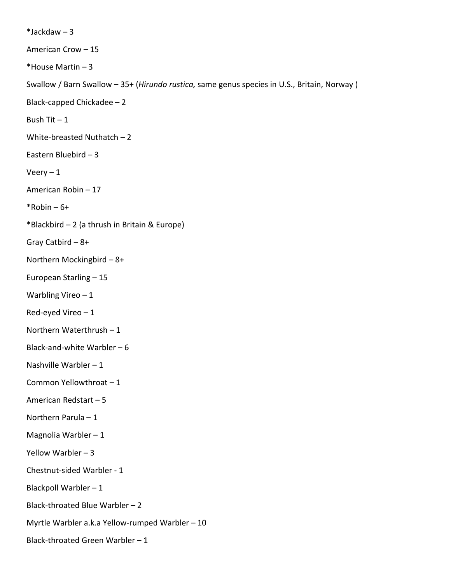$*$ Jackdaw – 3 American Crow – 15 \*House Martin – 3 Swallow / Barn Swallow – 35+ (*Hirundo rustica,* same genus species in U.S., Britain, Norway ) Black-capped Chickadee – 2 Bush Tit  $-1$ White-breasted Nuthatch – 2 Eastern Bluebird – 3  $V$ eery – 1 American Robin – 17  $*$ Robin – 6+ \*Blackbird – 2 (a thrush in Britain & Europe) Gray Catbird – 8+ Northern Mockingbird – 8+ European Starling – 15 Warbling Vireo – 1 Red-eyed Vireo – 1 Northern Waterthrush – 1 Black-and-white Warbler  $-6$ Nashville Warbler – 1 Common Yellowthroat – 1 American Redstart – 5 Northern Parula – 1 Magnolia Warbler – 1 Yellow Warbler – 3 Chestnut-sided Warbler - 1 Blackpoll Warbler – 1 Black-throated Blue Warbler – 2 Myrtle Warbler a.k.a Yellow-rumped Warbler – 10 Black-throated Green Warbler – 1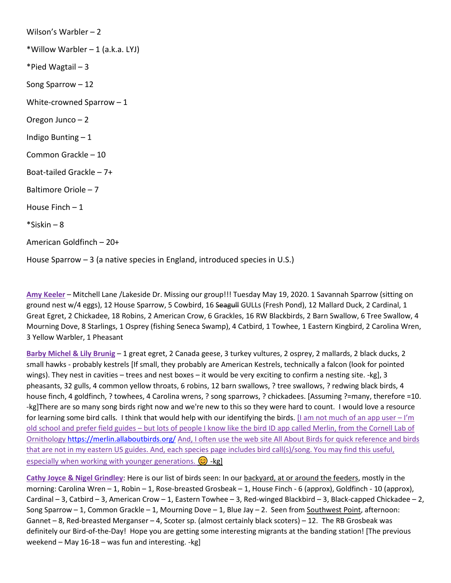Wilson's Warbler – 2 \*Willow Warbler – 1 (a.k.a. LYJ) \*Pied Wagtail – 3 Song Sparrow – 12 White-crowned Sparrow – 1 Oregon Junco – 2 Indigo Bunting – 1 Common Grackle – 10 Boat-tailed Grackle – 7+ Baltimore Oriole – 7 House Finch – 1 \*Siskin – 8 American Goldfinch – 20+

House Sparrow – 3 (a native species in England, introduced species in U.S.)

**Amy Keeler** – Mitchell Lane /Lakeside Dr. Missing our group!!! Tuesday May 19, 2020. 1 Savannah Sparrow (sitting on ground nest w/4 eggs), 12 House Sparrow, 5 Cowbird, 16 Seagull GULLs (Fresh Pond), 12 Mallard Duck, 2 Cardinal, 1 Great Egret, 2 Chickadee, 18 Robins, 2 American Crow, 6 Grackles, 16 RW Blackbirds, 2 Barn Swallow, 6 Tree Swallow, 4 Mourning Dove, 8 Starlings, 1 Osprey (fishing Seneca Swamp), 4 Catbird, 1 Towhee, 1 Eastern Kingbird, 2 Carolina Wren, 3 Yellow Warbler, 1 Pheasant

**Barby Michel & Lily Brunig** – 1 great egret, 2 Canada geese, 3 turkey vultures, 2 osprey, 2 mallards, 2 black ducks, 2 small hawks - probably kestrels [If small, they probably are American Kestrels, technically a falcon (look for pointed wings). They nest in cavities – trees and nest boxes – it would be very exciting to confirm a nesting site. -kg], 3 pheasants, 32 gulls, 4 common yellow throats, 6 robins, 12 barn swallows, ? tree swallows, ? redwing black birds, 4 house finch, 4 goldfinch, ? towhees, 4 Carolina wrens, ? song sparrows, ? chickadees. [Assuming ?=many, therefore =10. -kg]There are so many song birds right now and we're new to this so they were hard to count. I would love a resource for learning some bird calls. I think that would help with our identifying the birds. [I am not much of an app user – I'm old school and prefer field guides – but lots of people I know like the bird ID app called Merlin, from the Cornell Lab of Ornitholog[y https://merlin.allaboutbirds.org/](https://merlin.allaboutbirds.org/) And, I often use the web site All About Birds for quick reference and birds that are not in my eastern US guides. And, each species page includes bird call(s)/song. You may find this useful, especially when working with younger generations.  $\odot$  -kg]

**Cathy Joyce & Nigel Grindley**: Here is our list of birds seen: In our backyard, at or around the feeders, mostly in the morning: Carolina Wren – 1, Robin – 1, Rose-breasted Grosbeak – 1, House Finch - 6 (approx), Goldfinch - 10 (approx), Cardinal – 3, Catbird – 3, American Crow – 1, Eastern Towhee – 3, Red-winged Blackbird – 3, Black-capped Chickadee – 2, Song Sparrow – 1, Common Grackle – 1, Mourning Dove – 1, Blue Jay – 2. Seen from Southwest Point, afternoon: Gannet – 8, Red-breasted Merganser – 4, Scoter sp. (almost certainly black scoters) – 12. The RB Grosbeak was definitely our Bird-of-the-Day! Hope you are getting some interesting migrants at the banding station! [The previous weekend – May 16-18 – was fun and interesting. -kg]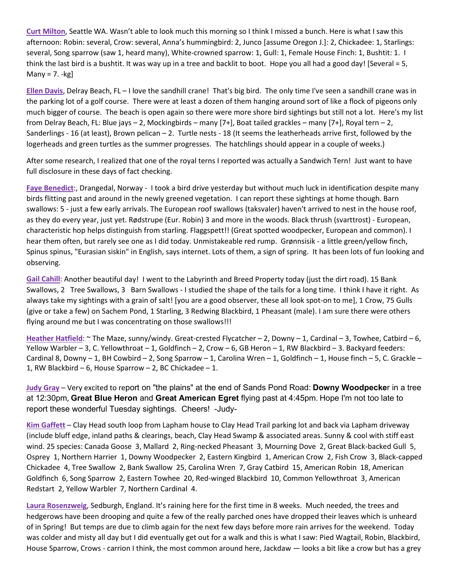**Curt Milton**, Seattle WA. Wasn't able to look much this morning so I think I missed a bunch. Here is what I saw this afternoon: Robin: several, Crow: several, Anna's hummingbird: 2, Junco [assume Oregon J.]: 2, Chickadee: 1, Starlings: several, Song sparrow (saw 1, heard many), White-crowned sparrow: 1, Gull: 1, Female House Finch: 1, Bushtit: 1. I think the last bird is a bushtit. It was way up in a tree and backlit to boot. Hope you all had a good day! [Several = 5, Many =  $7. -kg$ 

**Ellen Davis**, Delray Beach, FL – I love the sandhill crane! That's big bird. The only time I've seen a sandhill crane was in the parking lot of a golf course. There were at least a dozen of them hanging around sort of like a flock of pigeons only much bigger of course. The beach is open again so there were more shore bird sightings but still not a lot. Here's my list from Delray Beach, FL: Blue jays – 2, Mockingbirds – many [7+], Boat tailed grackles – many [7+], Royal tern – 2, Sanderlings - 16 (at least), Brown pelican  $-2$ . Turtle nests - 18 (It seems the leatherheads arrive first, followed by the logerheads and green turtles as the summer progresses. The hatchlings should appear in a couple of weeks.)

After some research, I realized that one of the royal terns I reported was actually a Sandwich Tern! Just want to have full disclosure in these days of fact checking.

**Faye Benedict**:, Drangedal, Norway - I took a bird drive yesterday but without much luck in identification despite many birds flitting past and around in the newly greened vegetation. I can report these sightings at home though. Barn swallows: 5 - just a few early arrivals. The European roof swallows (taksvaler) haven't arrived to nest in the house roof, as they do every year, just yet. Rødstrupe (Eur. Robin) 3 and more in the woods. Black thrush (svarttrost) - European, characteristic hop helps distinguish from starling. Flaggspett!! (Great spotted woodpecker, European and common). I hear them often, but rarely see one as I did today. Unmistakeable red rump. Grønnsisik - a little green/yellow finch, Spinus spinus, "Eurasian siskin" in English, says internet. Lots of them, a sign of spring. It has been lots of fun looking and observing.

**Gail Cahill**: Another beautiful day! I went to the Labyrinth and Breed Property today (just the dirt road). 15 Bank Swallows, 2 Tree Swallows, 3 Barn Swallows - I studied the shape of the tails for a long time. I think I have it right. As always take my sightings with a grain of salt! [you are a good observer, these all look spot-on to me], 1 Crow, 75 Gulls (give or take a few) on Sachem Pond, 1 Starling, 3 Redwing Blackbird, 1 Pheasant (male). I am sure there were others flying around me but I was concentrating on those swallows!!!

**Heather Hatfield**: ~ The Maze, sunny/windy. Great-crested Flycatcher – 2, Downy – 1, Cardinal – 3, Towhee, Catbird – 6, Yellow Warbler – 3, C. Yellowthroat – 1, Goldfinch – 2, Crow – 6, GB Heron – 1, RW Blackbird – 3. Backyard feeders: Cardinal 8, Downy – 1, BH Cowbird – 2, Song Sparrow – 1, Carolina Wren – 1, Goldfinch – 1, House finch – 5, C. Grackle – 1, RW Blackbird – 6, House Sparrow – 2, BC Chickadee – 1.

**Judy Gray** – Very excited to report on "the plains" at the end of Sands Pond Road: **Downy Woodpecke**r in a tree at 12:30pm, **Great Blue Heron** and **Great American Egret** flying past at 4:45pm. Hope I'm not too late to report these wonderful Tuesday sightings. Cheers! -Judy-

**Kim Gaffett** – Clay Head south loop from Lapham house to Clay Head Trail parking lot and back via Lapham driveway (include bluff edge, inland paths & clearings, beach, Clay Head Swamp & associated areas. Sunny & cool with stiff east wind. 25 species: Canada Goose 3, Mallard 2, Ring-necked Pheasant 3, Mourning Dove 2, Great Black-backed Gull 5, Osprey 1, Northern Harrier 1, Downy Woodpecker 2, Eastern Kingbird 1, American Crow 2, Fish Crow 3, Black-capped Chickadee 4, Tree Swallow 2, Bank Swallow 25, Carolina Wren 7, Gray Catbird 15, American Robin 18, American Goldfinch 6, Song Sparrow 2, Eastern Towhee 20, Red-winged Blackbird 10, Common Yellowthroat 3, American Redstart 2, Yellow Warbler 7, Northern Cardinal 4.

**Laura Rosenzweig**, Sedburgh, England. It's raining here for the first time in 8 weeks. Much needed, the trees and hedgerows have been drooping and quite a few of the really parched ones have dropped their leaves which is unheard of in Spring! But temps are due to climb again for the next few days before more rain arrives for the weekend. Today was colder and misty all day but I did eventually get out for a walk and this is what I saw: Pied Wagtail, Robin, Blackbird, House Sparrow, Crows - carrion I think, the most common around here, Jackdaw — looks a bit like a crow but has a grey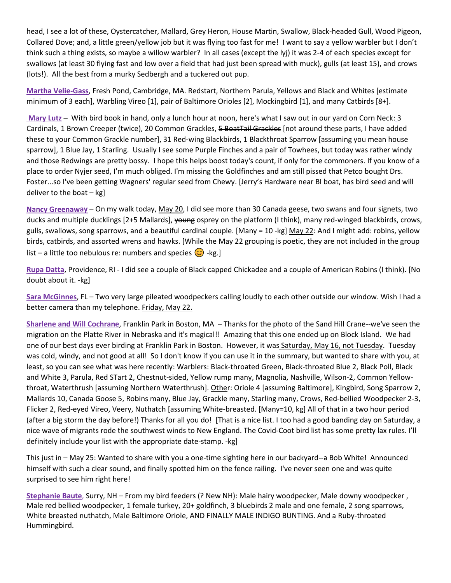head, I see a lot of these, Oystercatcher, Mallard, Grey Heron, House Martin, Swallow, Black-headed Gull, Wood Pigeon, Collared Dove; and, a little green/yellow job but it was flying too fast for me! I want to say a yellow warbler but I don't think such a thing exists, so maybe a willow warbler? In all cases (except the lyj) it was 2-4 of each species except for swallows (at least 30 flying fast and low over a field that had just been spread with muck), gulls (at least 15), and crows (lots!). All the best from a murky Sedbergh and a tuckered out pup.

**Martha Velie-Gass**, Fresh Pond, Cambridge, MA. Redstart, Northern Parula, Yellows and Black and Whites [estimate minimum of 3 each], Warbling Vireo [1], pair of Baltimore Orioles [2], Mockingbird [1], and many Catbirds [8+].

**Mary Lutz** – With bird book in hand, only a lunch hour at noon, here's what I saw out in our yard on Corn Neck: 3 Cardinals, 1 Brown Creeper (twice), 20 Common Grackles, 5 BoatTail Grackles [not around these parts, I have added these to your Common Grackle number], 31 Red-wing Blackbirds, 1 Blackthroat Sparrow [assuming you mean house sparrow], 1 Blue Jay, 1 Starling. Usually I see some Purple Finches and a pair of Towhees, but today was rather windy and those Redwings are pretty bossy. I hope this helps boost today's count, if only for the commoners. If you know of a place to order Nyjer seed, I'm much obliged. I'm missing the Goldfinches and am still pissed that Petco bought Drs. Foster...so I've been getting Wagners' regular seed from Chewy. [Jerry's Hardware near BI boat, has bird seed and will deliver to the boat – kg]

**Nancy Greenaway** – On my walk today, May 20, I did see more than 30 Canada geese, two swans and four signets, two ducks and multiple ducklings [2+5 Mallards], young osprey on the platform (I think), many red-winged blackbirds, crows, gulls, swallows, song sparrows, and a beautiful cardinal couple. [Many = 10 -kg] May 22: And I might add: robins, yellow birds, catbirds, and assorted wrens and hawks. [While the May 22 grouping is poetic, they are not included in the group list – a little too nebulous re: numbers and species  $\odot$  -kg.]

**Rupa Datta**, Providence, RI - I did see a couple of Black capped Chickadee and a couple of American Robins (I think). [No doubt about it. -kg]

**Sara McGinnes**, FL – Two very large pileated woodpeckers calling loudly to each other outside our window. Wish I had a better camera than my telephone. Friday, May 22.

**Sharlene and Will Cochrane**, Franklin Park in Boston, MA – Thanks for the photo of the Sand Hill Crane--we've seen the migration on the Platte River in Nebraska and it's magical!! Amazing that this one ended up on Block Island. We had one of our best days ever birding at Franklin Park in Boston. However, it was Saturday, May 16, not Tuesday. Tuesday was cold, windy, and not good at all! So I don't know if you can use it in the summary, but wanted to share with you, at least, so you can see what was here recently: Warblers: Black-throated Green, Black-throated Blue 2, Black Poll, Black and White 3, Parula, Red STart 2, Chestnut-sided, Yellow rump many, Magnolia, Nashville, Wilson-2, Common Yellowthroat, Waterthrush [assuming Northern Waterthrush]. Other: Oriole 4 [assuming Baltimore], Kingbird, Song Sparrow 2, Mallards 10, Canada Goose 5, Robins many, Blue Jay, Grackle many, Starling many, Crows, Red-bellied Woodpecker 2-3, Flicker 2, Red-eyed Vireo, Veery, Nuthatch [assuming White-breasted. [Many=10, kg] All of that in a two hour period (after a big storm the day before!) Thanks for all you do! [That is a nice list. I too had a good banding day on Saturday, a nice wave of migrants rode the southwest winds to New England. The Covid-Coot bird list has some pretty lax rules. I'll definitely include your list with the appropriate date-stamp. -kg]

This just in – May 25: Wanted to share with you a one-time sighting here in our backyard--a Bob White! Announced himself with such a clear sound, and finally spotted him on the fence railing. I've never seen one and was quite surprised to see him right here!

**Stephanie Baute**, Surry, NH – From my bird feeders (? New NH): Male hairy woodpecker, Male downy woodpecker , Male red bellied woodpecker, 1 female turkey, 20+ goldfinch, 3 bluebirds 2 male and one female, 2 song sparrows, White breasted nuthatch, Male Baltimore Oriole, AND FINALLY MALE INDIGO BUNTING. And a Ruby-throated Hummingbird.